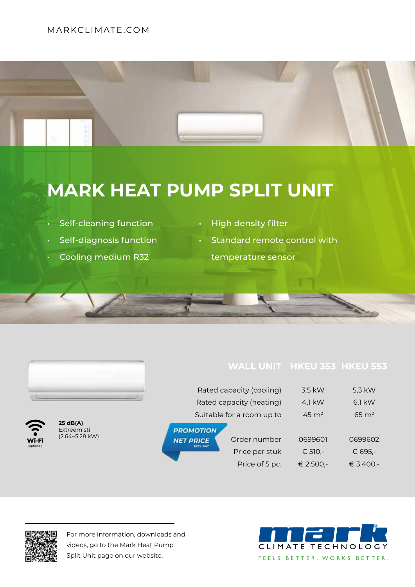## MARKCLIMATE.COM



## **MARK HEAT PUMP SPLIT UNIT**

- Self-cleaning function
- Self-diagnosis function
- Cooling medium R32
- High density filter
	- Standard remote control with
	- temperature sensor

|                     |                                                     |                                      | Rated capacity (cooling)  | 3,5 kW    | 5,3 kW           |
|---------------------|-----------------------------------------------------|--------------------------------------|---------------------------|-----------|------------------|
|                     |                                                     |                                      | Rated capacity (heating)  | 4,1 $kW$  | 6,1 kW           |
|                     |                                                     |                                      | Suitable for a room up to |           | $65 \text{ m}^2$ |
| <b>S.</b>           | 25 dB(A)<br>Extreem stil<br>$(2.64 \times 5.28$ kW) | <b>PROMOTION</b>                     |                           |           |                  |
| Wi-Fi<br>(optional) |                                                     | <b>NET PRICE</b><br><b>EXCL. VAT</b> | Order number              | 0699601   | 0699602          |
|                     |                                                     |                                      | Price per stuk            | € 510,-   | € 695,-          |
|                     |                                                     |                                      | Price of 5 pc.            | € 2.500,- | € 3.400,-        |



For more information, downloads and videos, go to the Mark Heat Pump